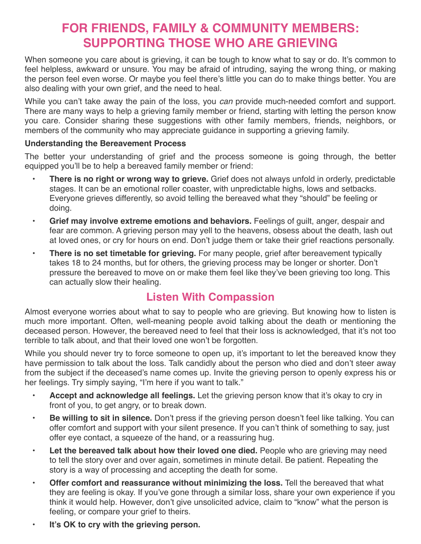## **FOR FRIENDS, FAMILY & COMMUNITY MEMBERS: SUPPORTING THOSE WHO ARE GRIEVING**

When someone you care about is grieving, it can be tough to know what to say or do. It's common to feel helpless, awkward or unsure. You may be afraid of intruding, saying the wrong thing, or making the person feel even worse. Or maybe you feel there's little you can do to make things better. You are also dealing with your own grief, and the need to heal.

While you can't take away the pain of the loss, you *can* provide much-needed comfort and support. There are many ways to help a grieving family member or friend, starting with letting the person know you care. Consider sharing these suggestions with other family members, friends, neighbors, or members of the community who may appreciate guidance in supporting a grieving family.

## **Understanding the Bereavement Process**

The better your understanding of grief and the process someone is going through, the better equipped you'll be to help a bereaved family member or friend:

- **There is no right or wrong way to grieve.** Grief does not always unfold in orderly, predictable stages. It can be an emotional roller coaster, with unpredictable highs, lows and setbacks. Everyone grieves differently, so avoid telling the bereaved what they "should" be feeling or doing.
- **Grief may involve extreme emotions and behaviors.** Feelings of guilt, anger, despair and fear are common. A grieving person may yell to the heavens, obsess about the death, lash out at loved ones, or cry for hours on end. Don't judge them or take their grief reactions personally.
- **There is no set timetable for grieving.** For many people, grief after bereavement typically takes 18 to 24 months, but for others, the grieving process may be longer or shorter. Don't pressure the bereaved to move on or make them feel like they've been grieving too long. This can actually slow their healing.

## **Listen With Compassion**

Almost everyone worries about what to say to people who are grieving. But knowing how to listen is much more important. Often, well-meaning people avoid talking about the death or mentioning the deceased person. However, the bereaved need to feel that their loss is acknowledged, that it's not too terrible to talk about, and that their loved one won't be forgotten.

While you should never try to force someone to open up, it's important to let the bereaved know they have permission to talk about the loss. Talk candidly about the person who died and don't steer away from the subject if the deceased's name comes up. Invite the grieving person to openly express his or her feelings. Try simply saying, "I'm here if you want to talk."

- **Accept and acknowledge all feelings.** Let the grieving person know that it's okay to cry in front of you, to get angry, or to break down.
- **Be willing to sit in silence.** Don't press if the grieving person doesn't feel like talking. You can offer comfort and support with your silent presence. If you can't think of something to say, just offer eye contact, a squeeze of the hand, or a reassuring hug.
- **Let the bereaved talk about how their loved one died.** People who are grieving may need to tell the story over and over again, sometimes in minute detail. Be patient. Repeating the story is a way of processing and accepting the death for some.
- **Offer comfort and reassurance without minimizing the loss.** Tell the bereaved that what they are feeling is okay. If you've gone through a similar loss, share your own experience if you think it would help. However, don't give unsolicited advice, claim to "know" what the person is feeling, or compare your grief to theirs.
- **• It's OK to cry with the grieving person.**